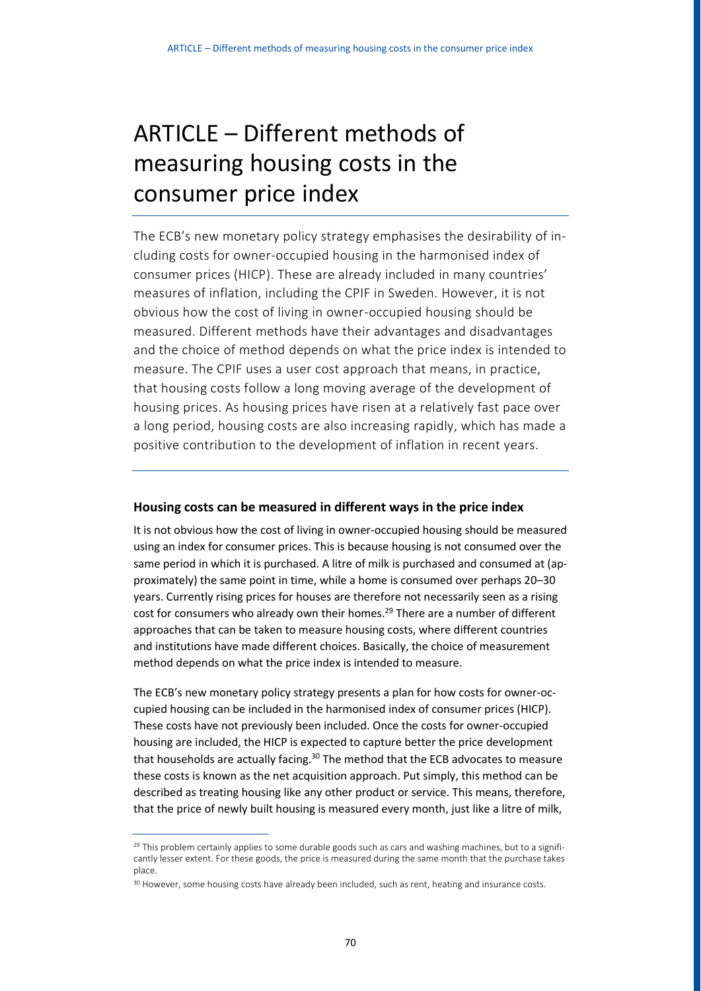## ARTICLE – Different methods of measuring housing costs in the consumer price index

The ECB's new monetary policy strategy emphasises the desirability of including costs for owner-occupied housing in the harmonised index of consumer prices (HICP). These are already included in many countries' measures of inflation, including the CPIF in Sweden. However, it is not obvious how the cost of living in owner-occupied housing should be measured. Different methods have their advantages and disadvantages and the choice of method depends on what the price index is intended to measure. The CPIF uses a user cost approach that means, in practice, that housing costs follow a long moving average of the development of housing prices. As housing prices have risen at a relatively fast pace over a long period, housing costs are also increasing rapidly, which has made a positive contribution to the development of inflation in recent years.

## **Housing costs can be measured in different ways in the price index**

It is not obvious how the cost of living in owner-occupied housing should be measured using an index for consumer prices. This is because housing is not consumed over the same period in which it is purchased. A litre of milk is purchased and consumed at (approximately) the same point in time, while a home is consumed over perhaps 20–30 years. Currently rising prices for houses are therefore not necessarily seen as a rising cost for consumers who already own their homes.<sup>29</sup> There are a number of different approaches that can be taken to measure housing costs, where different countries and institutions have made different choices. Basically, the choice of measurement method depends on what the price index is intended to measure.

The ECB's new monetary policy strategy presents a plan for how costs for owner-occupied housing can be included in the harmonised index of consumer prices (HICP). These costs have not previously been included. Once the costs for owner-occupied housing are included, the HICP is expected to capture better the price development that households are actually facing.<sup>30</sup> The method that the ECB advocates to measure these costs is known as the net acquisition approach. Put simply, this method can be described as treating housing like any other product or service. This means, therefore, that the price of newly built housing is measured every month, just like a litre of milk,

 $29$  This problem certainly applies to some durable goods such as cars and washing machines, but to a significantly lesser extent. For these goods, the price is measured during the same month that the purchase takes place.

<sup>&</sup>lt;sup>30</sup> However, some housing costs have already been included, such as rent, heating and insurance costs.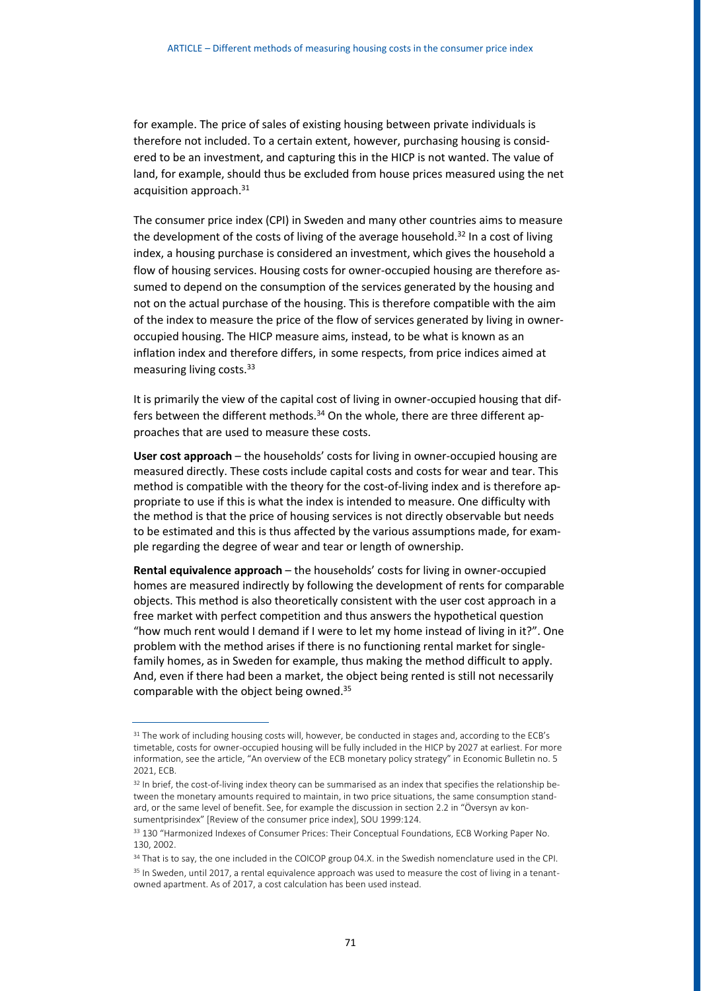for example. The price of sales of existing housing between private individuals is therefore not included. To a certain extent, however, purchasing housing is considered to be an investment, and capturing this in the HICP is not wanted. The value of land, for example, should thus be excluded from house prices measured using the net acquisition approach.<sup>31</sup>

The consumer price index (CPI) in Sweden and many other countries aims to measure the development of the costs of living of the average household.<sup>32</sup> In a cost of living index, a housing purchase is considered an investment, which gives the household a flow of housing services. Housing costs for owner-occupied housing are therefore assumed to depend on the consumption of the services generated by the housing and not on the actual purchase of the housing. This is therefore compatible with the aim of the index to measure the price of the flow of services generated by living in owneroccupied housing. The HICP measure aims, instead, to be what is known as an inflation index and therefore differs, in some respects, from price indices aimed at measuring living costs.<sup>33</sup>

It is primarily the view of the capital cost of living in owner-occupied housing that differs between the different methods.<sup>34</sup> On the whole, there are three different approaches that are used to measure these costs.

**User cost approach** – the households' costs for living in owner-occupied housing are measured directly. These costs include capital costs and costs for wear and tear. This method is compatible with the theory for the cost-of-living index and is therefore appropriate to use if this is what the index is intended to measure. One difficulty with the method is that the price of housing services is not directly observable but needs to be estimated and this is thus affected by the various assumptions made, for example regarding the degree of wear and tear or length of ownership.

**Rental equivalence approach** – the households' costs for living in owner-occupied homes are measured indirectly by following the development of rents for comparable objects. This method is also theoretically consistent with the user cost approach in a free market with perfect competition and thus answers the hypothetical question "how much rent would I demand if I were to let my home instead of living in it?". One problem with the method arises if there is no functioning rental market for singlefamily homes, as in Sweden for example, thus making the method difficult to apply. And, even if there had been a market, the object being rented is still not necessarily comparable with the object being owned.<sup>35</sup>

<sup>&</sup>lt;sup>31</sup> The work of including housing costs will, however, be conducted in stages and, according to the ECB's timetable, costs for owner-occupied housing will be fully included in the HICP by 2027 at earliest. For more information, see the article, "An overview of the ECB monetary policy strategy" in Economic Bulletin no. 5 2021, ECB.

<sup>&</sup>lt;sup>32</sup> In brief, the cost-of-living index theory can be summarised as an index that specifies the relationship between the monetary amounts required to maintain, in two price situations, the same consumption standard, or the same level of benefit. See, for example the discussion in section 2.2 in "Översyn av konsumentprisindex" [Review of the consumer price index], SOU 1999:124.

<sup>&</sup>lt;sup>33</sup> 130 "Harmonized Indexes of Consumer Prices: Their Conceptual Foundations, ECB Working Paper No. 130, 2002.

<sup>&</sup>lt;sup>34</sup> That is to say, the one included in the COICOP group 04.X. in the Swedish nomenclature used in the CPI. <sup>35</sup> In Sweden. until 2017, a rental equivalence approach was used to measure the cost of living in a tenantowned apartment. As of 2017, a cost calculation has been used instead.